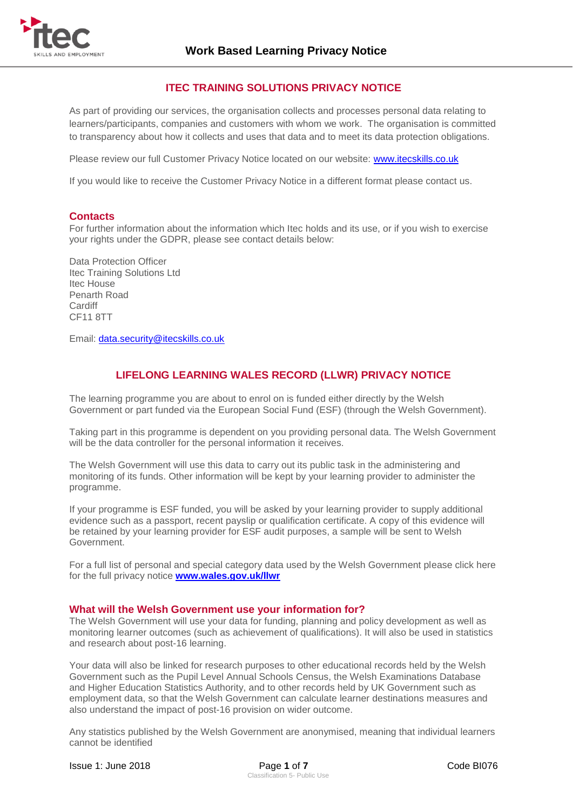

## **ITEC TRAINING SOLUTIONS PRIVACY NOTICE**

As part of providing our services, the organisation collects and processes personal data relating to learners/participants, companies and customers with whom we work. The organisation is committed to transparency about how it collects and uses that data and to meet its data protection obligations.

Please review our full Customer Privacy Notice located on our website: [www.itecskills.co.uk](http://www.itecskills.co.uk/)

If you would like to receive the Customer Privacy Notice in a different format please contact us.

#### **Contacts**

For further information about the information which Itec holds and its use, or if you wish to exercise your rights under the GDPR, please see contact details below:

Data Protection Officer Itec Training Solutions Ltd Itec House Penarth Road **Cardiff** CF11 8TT

Email: [data.security@itecskills.co.uk](mailto:data.security@itecskills.co.uk)

## **LIFELONG LEARNING WALES RECORD (LLWR) PRIVACY NOTICE**

The learning programme you are about to enrol on is funded either directly by the Welsh Government or part funded via the European Social Fund (ESF) (through the Welsh Government).

Taking part in this programme is dependent on you providing personal data. The Welsh Government will be the data controller for the personal information it receives.

The Welsh Government will use this data to carry out its public task in the administering and monitoring of its funds. Other information will be kept by your learning provider to administer the programme.

If your programme is ESF funded, you will be asked by your learning provider to supply additional evidence such as a passport, recent payslip or qualification certificate. A copy of this evidence will be retained by your learning provider for ESF audit purposes, a sample will be sent to Welsh Government.

For a full list of personal and special category data used by the Welsh Government please click here for the full privacy notice **[www.wales.gov.uk/llwr](http://www.wales.gov.uk/llwr)**

#### **What will the Welsh Government use your information for?**

The Welsh Government will use your data for funding, planning and policy development as well as monitoring learner outcomes (such as achievement of qualifications). It will also be used in statistics and research about post-16 learning.

Your data will also be linked for research purposes to other educational records held by the Welsh Government such as the Pupil Level Annual Schools Census, the Welsh Examinations Database and Higher Education Statistics Authority, and to other records held by UK Government such as employment data, so that the Welsh Government can calculate learner destinations measures and also understand the impact of post-16 provision on wider outcome.

Any statistics published by the Welsh Government are anonymised, meaning that individual learners cannot be identified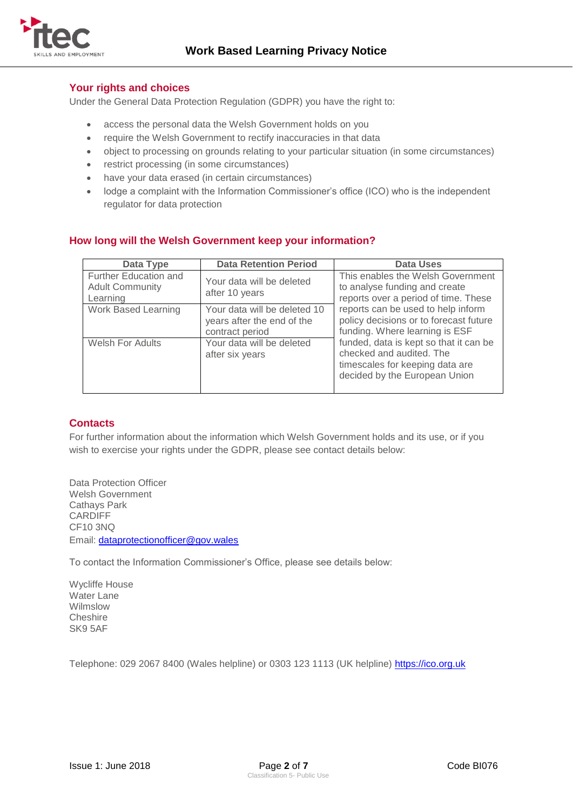

## **Your rights and choices**

Under the General Data Protection Regulation (GDPR) you have the right to:

- access the personal data the Welsh Government holds on you
- require the Welsh Government to rectify inaccuracies in that data
- object to processing on grounds relating to your particular situation (in some circumstances)
- restrict processing (in some circumstances)
- have your data erased (in certain circumstances)
- lodge a complaint with the Information Commissioner's office (ICO) who is the independent regulator for data protection

## **How long will the Welsh Government keep your information?**

| Data Type                                                   | <b>Data Retention Period</b>                                                  | Data Uses                                                                                                                                                                                                                    |  |
|-------------------------------------------------------------|-------------------------------------------------------------------------------|------------------------------------------------------------------------------------------------------------------------------------------------------------------------------------------------------------------------------|--|
| Further Education and<br><b>Adult Community</b><br>Learning | Your data will be deleted<br>after 10 years                                   | This enables the Welsh Government<br>to analyse funding and create<br>reports over a period of time. These<br>reports can be used to help inform<br>policy decisions or to forecast future<br>funding. Where learning is ESF |  |
| Work Based Learning                                         | Your data will be deleted 10<br>years after the end of the<br>contract period |                                                                                                                                                                                                                              |  |
| <b>Welsh For Adults</b>                                     | Your data will be deleted<br>after six years                                  | funded, data is kept so that it can be<br>checked and audited. The<br>timescales for keeping data are<br>decided by the European Union                                                                                       |  |

## **Contacts**

For further information about the information which Welsh Government holds and its use, or if you wish to exercise your rights under the GDPR, please see contact details below:

Data Protection Officer Welsh Government Cathays Park CARDIFF CF10 3NQ Email: [dataprotectionofficer@gov.wales](mailto:dataprotectionofficer@gov.wales)

To contact the Information Commissioner's Office, please see details below:

Wycliffe House Water Lane Wilmslow **Cheshire** SK9 5AF

Telephone: 029 2067 8400 (Wales helpline) or 0303 123 1113 (UK helpline) [https://ico.org.uk](https://ico.org.uk/)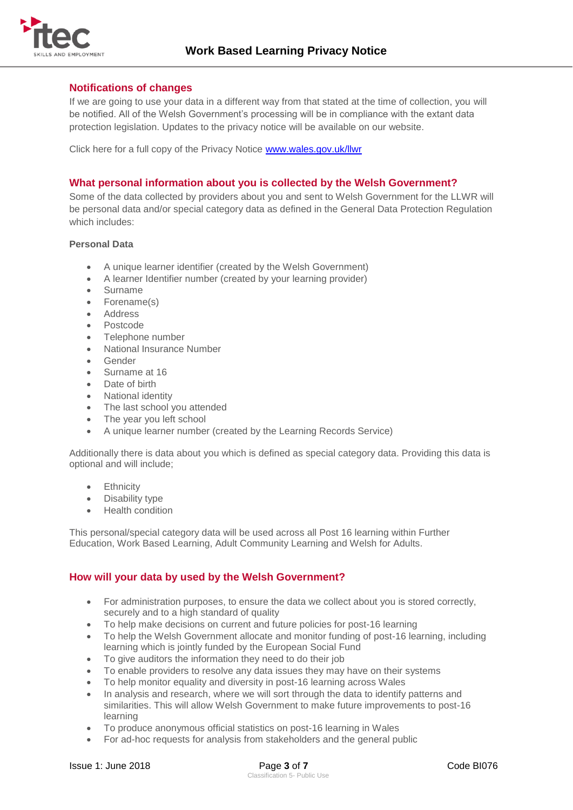

## **Notifications of changes**

If we are going to use your data in a different way from that stated at the time of collection, you will be notified. All of the Welsh Government's processing will be in compliance with the extant data protection legislation. Updates to the privacy notice will be available on our website.

Click here for a full copy of the Privacy Notice [www.wales.gov.uk/llwr](http://www.wales.gov.uk/llwr)

## **What personal information about you is collected by the Welsh Government?**

Some of the data collected by providers about you and sent to Welsh Government for the LLWR will be personal data and/or special category data as defined in the General Data Protection Regulation which includes:

### **Personal Data**

- A unique learner identifier (created by the Welsh Government)
- A learner Identifier number (created by your learning provider)
- Surname
- Forename(s)
- Address
- Postcode
- Telephone number
- National Insurance Number
- **A** Gender
- Surname at 16
- Date of birth
- National identity
- The last school you attended
- The year you left school
- A unique learner number (created by the Learning Records Service)

Additionally there is data about you which is defined as special category data. Providing this data is optional and will include;

- Ethnicity
- Disability type
- Health condition

This personal/special category data will be used across all Post 16 learning within Further Education, Work Based Learning, Adult Community Learning and Welsh for Adults.

## **How will your data by used by the Welsh Government?**

- For administration purposes, to ensure the data we collect about you is stored correctly, securely and to a high standard of quality
- To help make decisions on current and future policies for post-16 learning
- To help the Welsh Government allocate and monitor funding of post-16 learning, including learning which is jointly funded by the European Social Fund
- To give auditors the information they need to do their job
- To enable providers to resolve any data issues they may have on their systems
- To help monitor equality and diversity in post-16 learning across Wales
- In analysis and research, where we will sort through the data to identify patterns and similarities. This will allow Welsh Government to make future improvements to post-16 learning
- To produce anonymous official statistics on post-16 learning in Wales
- For ad-hoc requests for analysis from stakeholders and the general public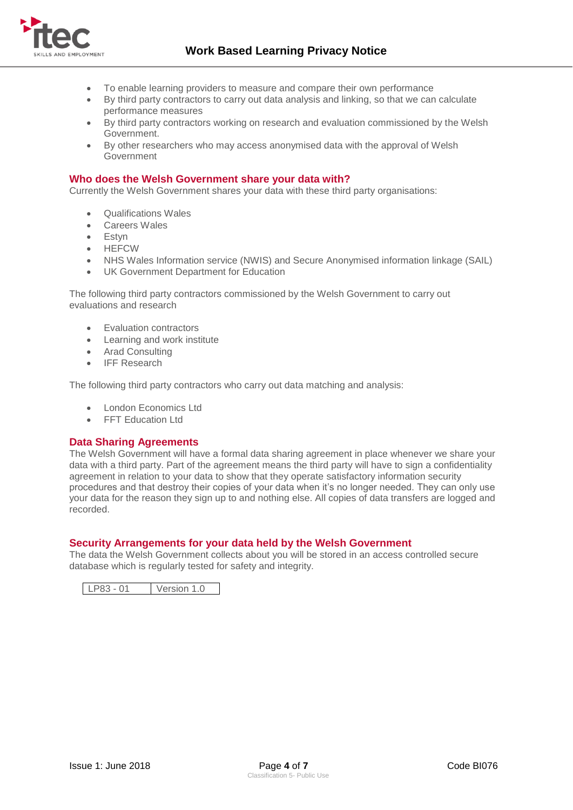

- To enable learning providers to measure and compare their own performance
- By third party contractors to carry out data analysis and linking, so that we can calculate performance measures
- By third party contractors working on research and evaluation commissioned by the Welsh Government.
- By other researchers who may access anonymised data with the approval of Welsh Government

#### **Who does the Welsh Government share your data with?**

Currently the Welsh Government shares your data with these third party organisations:

- Qualifications Wales
- Careers Wales
- Estyn
- HEFCW
- NHS Wales Information service (NWIS) and Secure Anonymised information linkage (SAIL)
- UK Government Department for Education

The following third party contractors commissioned by the Welsh Government to carry out evaluations and research

- Evaluation contractors
- Learning and work institute
- Arad Consulting
- **IFF Research**

The following third party contractors who carry out data matching and analysis:

- London Economics Ltd
- FFT Education Ltd

## **Data Sharing Agreements**

The Welsh Government will have a formal data sharing agreement in place whenever we share your data with a third party. Part of the agreement means the third party will have to sign a confidentiality agreement in relation to your data to show that they operate satisfactory information security procedures and that destroy their copies of your data when it's no longer needed. They can only use your data for the reason they sign up to and nothing else. All copies of data transfers are logged and recorded.

#### **Security Arrangements for your data held by the Welsh Government**

The data the Welsh Government collects about you will be stored in an access controlled secure database which is regularly tested for safety and integrity.

LP83 - 01 Version 1.0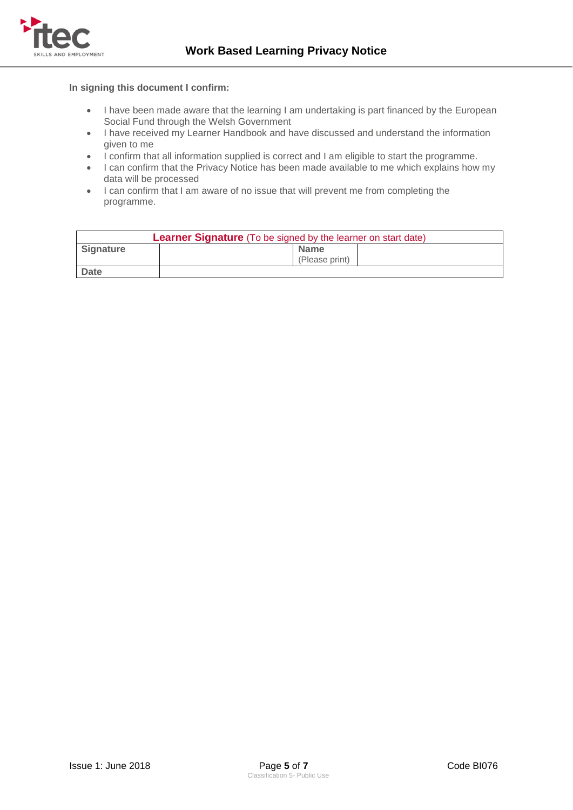

## **In signing this document I confirm:**

- I have been made aware that the learning I am undertaking is part financed by the European Social Fund through the Welsh Government
- I have received my Learner Handbook and have discussed and understand the information given to me
- I confirm that all information supplied is correct and I am eligible to start the programme.
- I can confirm that the Privacy Notice has been made available to me which explains how my data will be processed
- I can confirm that I am aware of no issue that will prevent me from completing the programme.

| <b>Learner Signature</b> (To be signed by the learner on start date) |                               |  |  |  |
|----------------------------------------------------------------------|-------------------------------|--|--|--|
| Signature                                                            | <b>Name</b><br>(Please print) |  |  |  |
| Date                                                                 |                               |  |  |  |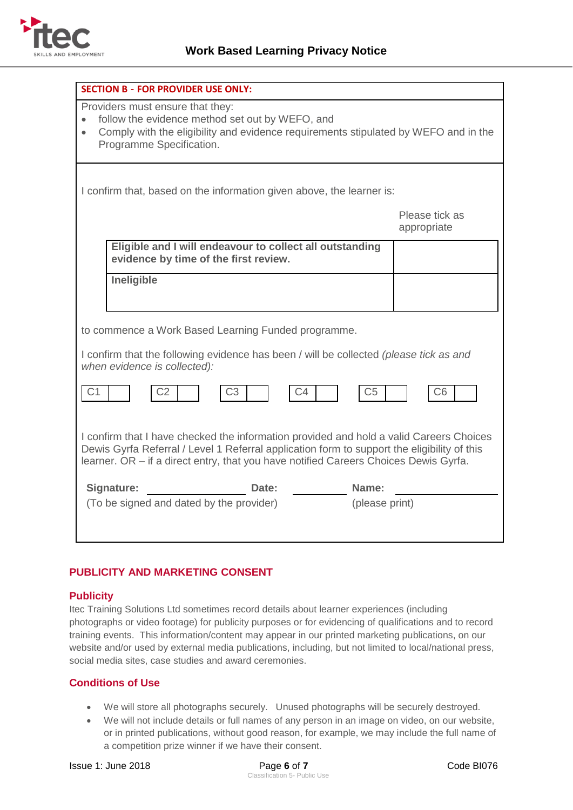

| <b>SECTION B - FOR PROVIDER USE ONLY:</b>                                                                                                                                                                                                                                      |                               |  |  |  |
|--------------------------------------------------------------------------------------------------------------------------------------------------------------------------------------------------------------------------------------------------------------------------------|-------------------------------|--|--|--|
| Providers must ensure that they:<br>follow the evidence method set out by WEFO, and<br>Comply with the eligibility and evidence requirements stipulated by WEFO and in the<br>Programme Specification.                                                                         |                               |  |  |  |
| I confirm that, based on the information given above, the learner is:                                                                                                                                                                                                          |                               |  |  |  |
|                                                                                                                                                                                                                                                                                | Please tick as<br>appropriate |  |  |  |
| Eligible and I will endeavour to collect all outstanding<br>evidence by time of the first review.                                                                                                                                                                              |                               |  |  |  |
| Ineligible                                                                                                                                                                                                                                                                     |                               |  |  |  |
|                                                                                                                                                                                                                                                                                |                               |  |  |  |
| to commence a Work Based Learning Funded programme.                                                                                                                                                                                                                            |                               |  |  |  |
| I confirm that the following evidence has been / will be collected (please tick as and<br>when evidence is collected):                                                                                                                                                         |                               |  |  |  |
| C <sub>1</sub><br>C <sub>2</sub><br>C <sub>3</sub><br>C <sub>4</sub><br>C <sub>5</sub><br>C <sub>6</sub>                                                                                                                                                                       |                               |  |  |  |
| I confirm that I have checked the information provided and hold a valid Careers Choices<br>Dewis Gyrfa Referral / Level 1 Referral application form to support the eligibility of this<br>learner. OR – if a direct entry, that you have notified Careers Choices Dewis Gyrfa. |                               |  |  |  |
| Signature:<br>Name:<br>Date:                                                                                                                                                                                                                                                   |                               |  |  |  |
| (To be signed and dated by the provider)<br>(please print)                                                                                                                                                                                                                     |                               |  |  |  |
|                                                                                                                                                                                                                                                                                |                               |  |  |  |

# **PUBLICITY AND MARKETING CONSENT**

## **Publicity**

Itec Training Solutions Ltd sometimes record details about learner experiences (including photographs or video footage) for publicity purposes or for evidencing of qualifications and to record training events. This information/content may appear in our printed marketing publications, on our website and/or used by external media publications, including, but not limited to local/national press, social media sites, case studies and award ceremonies.

## **Conditions of Use**

- We will store all photographs securely. Unused photographs will be securely destroyed.
- We will not include details or full names of any person in an image on video, on our website, or in printed publications, without good reason, for example, we may include the full name of a competition prize winner if we have their consent.